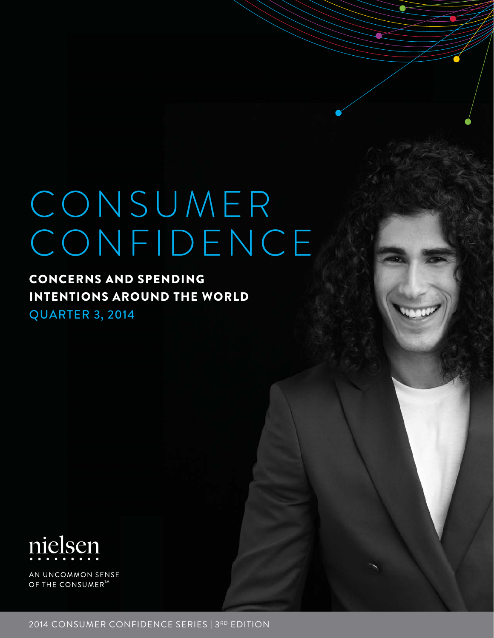# CONSUMER CONFIDENCE

### CONCERNS AND SPENDING INTENTIONS AROUND THE WORLD

QUARTER 3, 2014



AN UNCOMMON SENSE OF THE CONSUMER<sup>TA</sup>

2014 CONSUMER CONFIDENCE SERIES | 3RD EDITION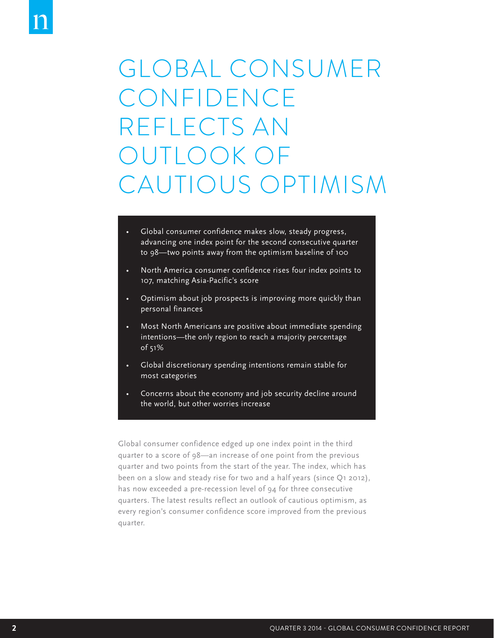## GLOBAL CONSUMER CONFIDENCE REFLECTS AN OUTLOOK OF CAUTIOUS OPTIMISM

- Global consumer confidence makes slow, steady progress, advancing one index point for the second consecutive quarter to 98—two points away from the optimism baseline of 100
- North America consumer confidence rises four index points to 107, matching Asia-Pacific's score
- Optimism about job prospects is improving more quickly than personal finances
- Most North Americans are positive about immediate spending intentions—the only region to reach a majority percentage of 51%
- Global discretionary spending intentions remain stable for most categories
- Concerns about the economy and job security decline around the world, but other worries increase

Global consumer confidence edged up one index point in the third quarter to a score of 98—an increase of one point from the previous quarter and two points from the start of the year. The index, which has been on a slow and steady rise for two and a half years (since Q1 2012), has now exceeded a pre-recession level of 94 for three consecutive quarters. The latest results reflect an outlook of cautious optimism, as every region's consumer confidence score improved from the previous quarter.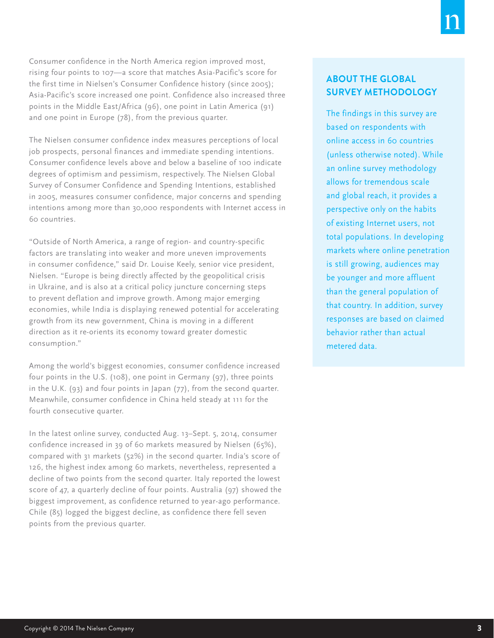Consumer confidence in the North America region improved most, rising four points to 107—a score that matches Asia-Pacific's score for the first time in Nielsen's Consumer Confidence history (since 2005); Asia-Pacific's score increased one point. Confidence also increased three points in the Middle East/Africa (96), one point in Latin America (91) and one point in Europe (78), from the previous quarter.

The Nielsen consumer confidence index measures perceptions of local job prospects, personal finances and immediate spending intentions. Consumer confidence levels above and below a baseline of 100 indicate degrees of optimism and pessimism, respectively. The Nielsen Global Survey of Consumer Confidence and Spending Intentions, established in 2005, measures consumer confidence, major concerns and spending intentions among more than 30,000 respondents with Internet access in 60 countries.

"Outside of North America, a range of region- and country-specific factors are translating into weaker and more uneven improvements in consumer confidence," said Dr. Louise Keely, senior vice president, Nielsen. "Europe is being directly affected by the geopolitical crisis in Ukraine, and is also at a critical policy juncture concerning steps to prevent deflation and improve growth. Among major emerging economies, while India is displaying renewed potential for accelerating growth from its new government, China is moving in a different direction as it re-orients its economy toward greater domestic consumption."

Among the world's biggest economies, consumer confidence increased four points in the U.S. (108), one point in Germany (97), three points in the U.K. (93) and four points in Japan (77), from the second quarter. Meanwhile, consumer confidence in China held steady at 111 for the fourth consecutive quarter.

In the latest online survey, conducted Aug. 13–Sept. 5, 2014, consumer confidence increased in 39 of 60 markets measured by Nielsen (65%), compared with 31 markets (52%) in the second quarter. India's score of 126, the highest index among 60 markets, nevertheless, represented a decline of two points from the second quarter. Italy reported the lowest score of 47, a quarterly decline of four points. Australia (97) showed the biggest improvement, as confidence returned to year-ago performance. Chile (85) logged the biggest decline, as confidence there fell seven points from the previous quarter.

#### **ABOUT THE GLOBAL SURVEY METHODOLOGY**

The findings in this survey are based on respondents with online access in 60 countries (unless otherwise noted). While an online survey methodology allows for tremendous scale and global reach, it provides a perspective only on the habits of existing Internet users, not total populations. In developing markets where online penetration is still growing, audiences may be younger and more affluent than the general population of that country. In addition, survey responses are based on claimed behavior rather than actual metered data.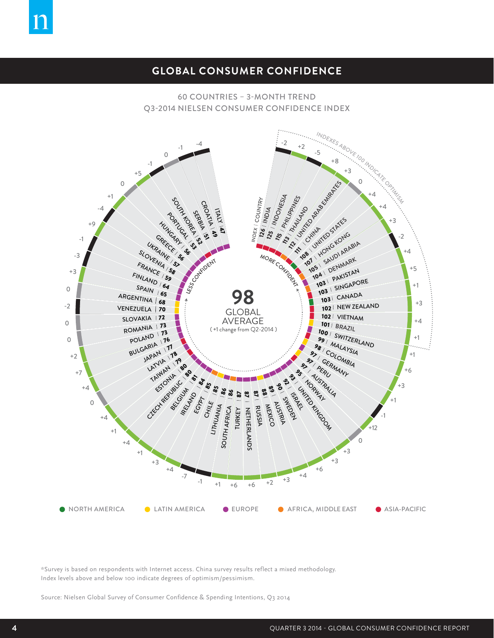### **GLOBAL CONSUMER CONFIDENCE**

#### 60 COUNTRIES – 3-MONTH TREND Q3-2014 NIELSEN CONSUMER CONFIDENCE INDEX



\*Survey is based on respondents with Internet access. China survey results reflect a mixed methodology. Index levels above and below 100 indicate degrees of optimism/pessimism.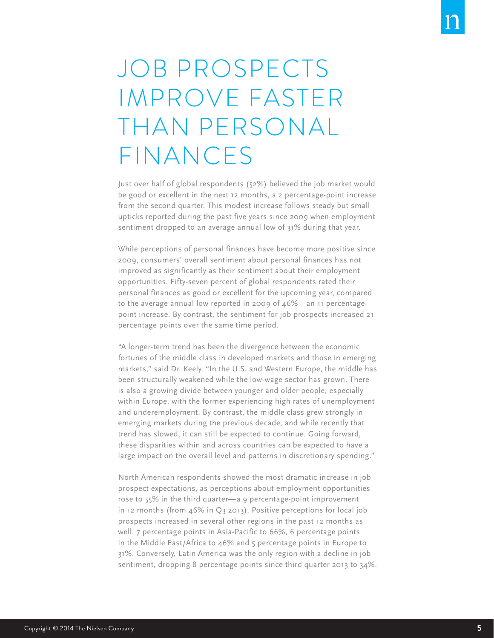## JOB PROSPECTS IMPROVE FASTER THAN PERSONAL FINANCES

Just over half of global respondents (52%) believed the job market would be good or excellent in the next 12 months, a 2 percentage-point increase from the second quarter. This modest increase follows steady but small upticks reported during the past five years since 2009 when employment sentiment dropped to an average annual low of 31% during that year.

While perceptions of personal finances have become more positive since 2009, consumers' overall sentiment about personal finances has not improved as significantly as their sentiment about their employment opportunities. Fifty-seven percent of global respondents rated their personal finances as good or excellent for the upcoming year, compared to the average annual low reported in 2009 of 46%—an 11 percentagepoint increase. By contrast, the sentiment for job prospects increased 21 percentage points over the same time period.

"A longer-term trend has been the divergence between the economic fortunes of the middle class in developed markets and those in emerging markets," said Dr. Keely. "In the U.S. and Western Europe, the middle has been structurally weakened while the low-wage sector has grown. There is also a growing divide between younger and older people, especially within Europe, with the former experiencing high rates of unemployment and underemployment. By contrast, the middle class grew strongly in emerging markets during the previous decade, and while recently that trend has slowed, it can still be expected to continue. Going forward, these disparities within and across countries can be expected to have a large impact on the overall level and patterns in discretionary spending."

North American respondents showed the most dramatic increase in job prospect expectations, as perceptions about employment opportunities rose to 55% in the third quarter—a 9 percentage-point improvement in 12 months (from 46% in Q3 2013). Positive perceptions for local job prospects increased in several other regions in the past 12 months as well: 7 percentage points in Asia-Pacific to 66%, 6 percentage points in the Middle East/Africa to 46% and 5 percentage points in Europe to 31%. Conversely, Latin America was the only region with a decline in job sentiment, dropping 8 percentage points since third quarter 2013 to 34%.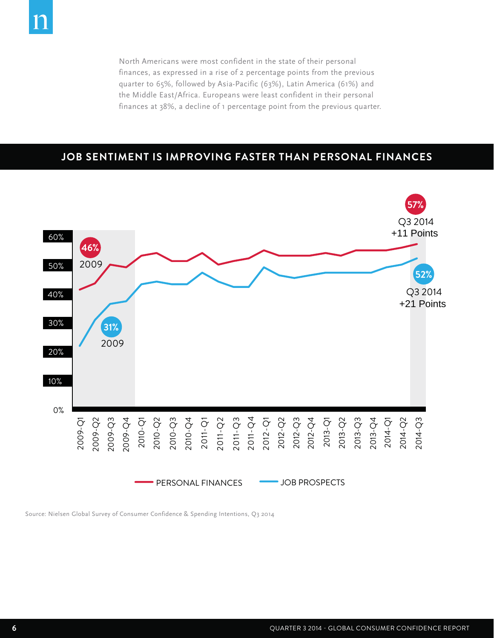North Americans were most confident in the state of their personal finances, as expressed in a rise of 2 percentage points from the previous quarter to 65%, followed by Asia-Pacific (63%), Latin America (61%) and the Middle East/Africa. Europeans were least confident in their personal finances at 38%, a decline of 1 percentage point from the previous quarter.

### **JOB SENTIMENT IS IMPROVING FASTER THAN PERSONAL FINANCES**

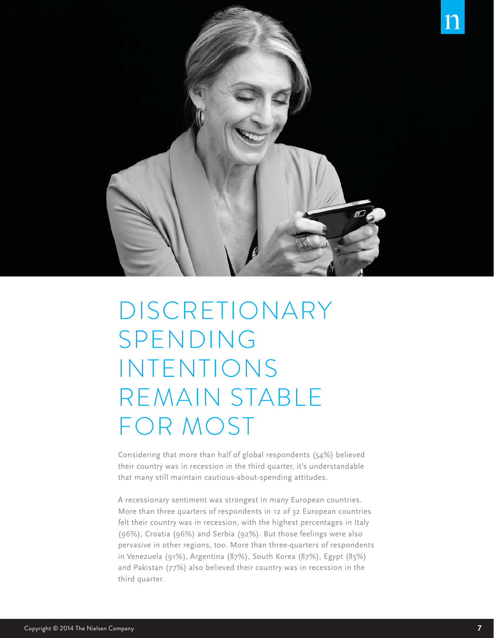

## DISCRETIONARY SPENDING INTENTIONS REMAIN STABLE FOR MOST

Considering that more than half of global respondents (54%) believed their country was in recession in the third quarter, it's understandable that many still maintain cautious-about-spending attitudes.

A recessionary sentiment was strongest in many European countries. More than three quarters of respondents in 12 of 32 European countries felt their country was in recession, with the highest percentages in Italy (96%), Croatia (96%) and Serbia (92%). But those feelings were also pervasive in other regions, too. More than three-quarters of respondents in Venezuela (91%), Argentina (87%), South Korea (87%), Egypt (85%) and Pakistan (77%) also believed their country was in recession in the third quarter.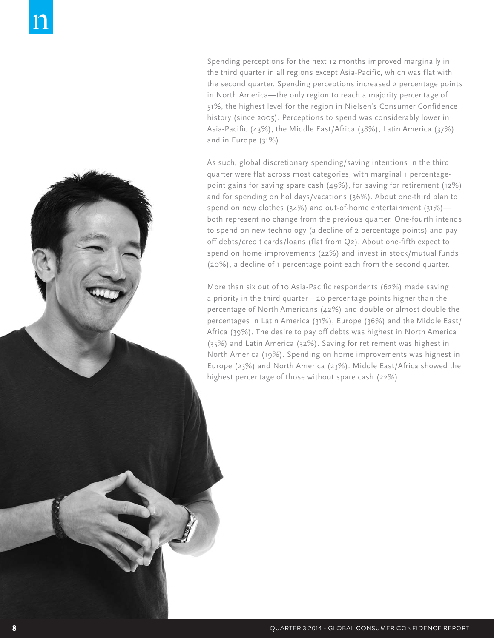Spending perceptions for the next 12 months improved marginally in the third quarter in all regions except Asia-Pacific, which was flat with the second quarter. Spending perceptions increased 2 percentage points in North America—the only region to reach a majority percentage of 51%, the highest level for the region in Nielsen's Consumer Confidence history (since 2005). Perceptions to spend was considerably lower in Asia-Pacific (43%), the Middle East/Africa (38%), Latin America (37%) and in Europe (31%).

As such, global discretionary spending/saving intentions in the third quarter were flat across most categories, with marginal 1 percentagepoint gains for saving spare cash (49%), for saving for retirement (12%) and for spending on holidays/vacations (36%). About one-third plan to spend on new clothes (34%) and out-of-home entertainment (31%) both represent no change from the previous quarter. One-fourth intends to spend on new technology (a decline of 2 percentage points) and pay off debts/credit cards/loans (flat from Q2). About one-fifth expect to spend on home improvements (22%) and invest in stock/mutual funds (20%), a decline of 1 percentage point each from the second quarter.

More than six out of 10 Asia-Pacific respondents (62%) made saving a priority in the third quarter—20 percentage points higher than the percentage of North Americans (42%) and double or almost double the percentages in Latin America (31%), Europe (36%) and the Middle East/ Africa (39%). The desire to pay off debts was highest in North America (35%) and Latin America (32%). Saving for retirement was highest in North America (19%). Spending on home improvements was highest in Europe (23%) and North America (23%). Middle East/Africa showed the highest percentage of those without spare cash (22%).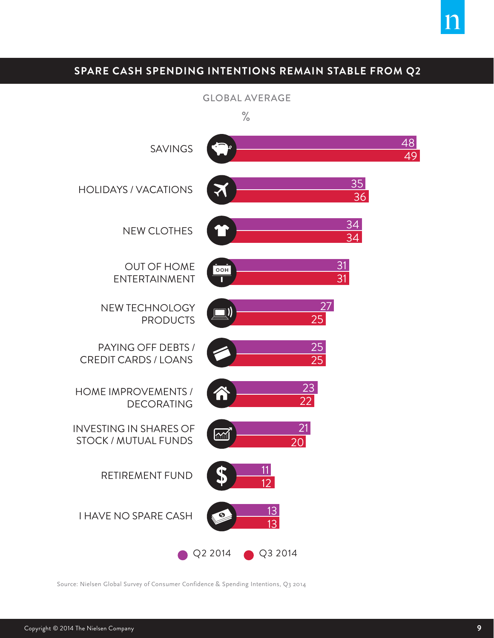### **SPARE CASH SPENDING INTENTIONS REMAIN STABLE FROM Q2**

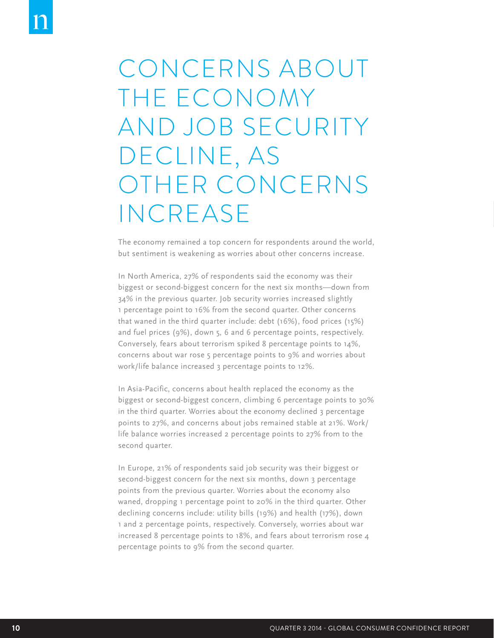## CONCERNS ABOUT THE ECONOMY AND JOB SECURITY DECLINE, AS OTHER CONCERNS INCREASE

The economy remained a top concern for respondents around the world, but sentiment is weakening as worries about other concerns increase.

In North America, 27% of respondents said the economy was their biggest or second-biggest concern for the next six months—down from 34% in the previous quarter. Job security worries increased slightly 1 percentage point to 16% from the second quarter. Other concerns that waned in the third quarter include: debt (16%), food prices (15%) and fuel prices (9%), down 5, 6 and 6 percentage points, respectively. Conversely, fears about terrorism spiked 8 percentage points to 14%, concerns about war rose 5 percentage points to 9% and worries about work/life balance increased 3 percentage points to 12%.

In Asia-Pacific, concerns about health replaced the economy as the biggest or second-biggest concern, climbing 6 percentage points to 30% in the third quarter. Worries about the economy declined 3 percentage points to 27%, and concerns about jobs remained stable at 21%. Work/ life balance worries increased 2 percentage points to 27% from to the second quarter.

In Europe, 21% of respondents said job security was their biggest or second-biggest concern for the next six months, down 3 percentage points from the previous quarter. Worries about the economy also waned, dropping 1 percentage point to 20% in the third quarter. Other declining concerns include: utility bills (19%) and health (17%), down 1 and 2 percentage points, respectively. Conversely, worries about war increased 8 percentage points to 18%, and fears about terrorism rose 4 percentage points to 9% from the second quarter.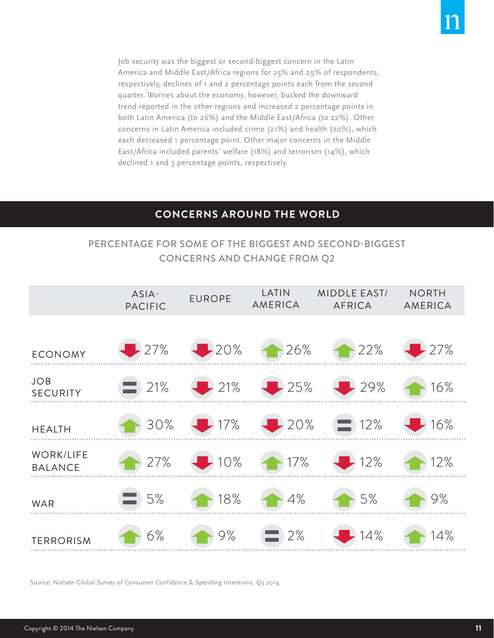Job security was the biggest or second-biggest concern in the Latin America and Middle East/Africa regions for 25% and 29% of respondents, respectively, declines of 1 and 2 percentage points each from the second quarter. Worries about the economy, however, bucked the downward trend reported in the other regions and increased 2 percentage points in both Latin America (to 26%) and the Middle East/Africa (to 22%). Other concerns in Latin America included crime (21%) and health (20%), which each decreased 1 percentage point. Other major concerns in the Middle East/Africa included parents' welfare (18%) and terrorism (14%), which declined 1 and 3 percentage points, respectively.

### **CONCERNS AROUND THE WORLD**

### PERCENTAGE FOR SOME OF THE BIGGEST AND SECOND-BIGGEST CONCERNS AND CHANGE FROM Q2

|                                    | ASIA-<br><b>PACIFIC</b> | <b>EUROPE</b>             | LATIN<br><b>AMERICA</b> | <b>MIDDLE EAST/</b><br><b>AFRICA</b> | <b>NORTH</b><br>AMERICA |
|------------------------------------|-------------------------|---------------------------|-------------------------|--------------------------------------|-------------------------|
| <b>ECONOMY</b>                     | $\frac{1}{27\%}$        | $-20%$                    | 26%                     | $-22%$                               | $-27%$                  |
| <b>JOB</b><br><b>SECURITY</b>      | 21%                     | 21%                       | 25%                     | $-29%$                               | 16%                     |
| <b>HEALTH</b>                      | 30%                     | 17%                       | $-20%$                  | $\equiv$ 12%                         | 16%                     |
| <b>WORK/LIFE</b><br><b>BALANCE</b> | 27%                     | $\blacktriangleright$ 10% | $-17%$                  | $\blacktriangleright$ 12%            | 12%                     |
| <b>WAR</b>                         | 5%                      | 18%                       | 4%                      | 5%                                   | 9%                      |
| <b>TERRORISM</b>                   | 6%                      | 9%                        | 2%                      | 14%                                  | 14%                     |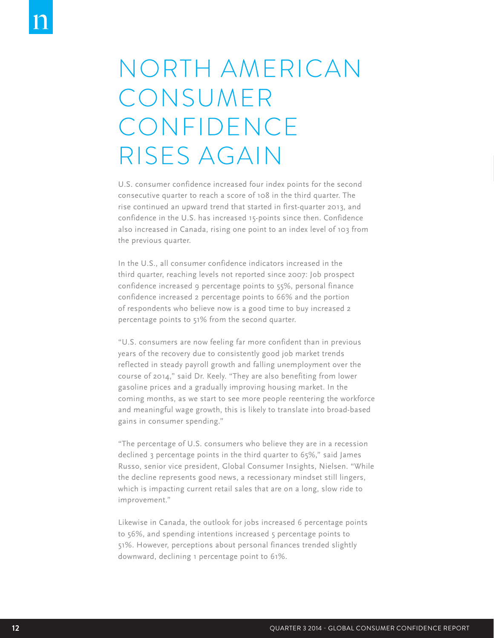### NORTH AMERICAN CONSUMER CONFIDENCE RISES AGAIN

U.S. consumer confidence increased four index points for the second consecutive quarter to reach a score of 108 in the third quarter. The rise continued an upward trend that started in first-quarter 2013, and confidence in the U.S. has increased 15-points since then. Confidence also increased in Canada, rising one point to an index level of 103 from the previous quarter.

In the U.S., all consumer confidence indicators increased in the third quarter, reaching levels not reported since 2007: Job prospect confidence increased 9 percentage points to 55%, personal finance confidence increased 2 percentage points to 66% and the portion of respondents who believe now is a good time to buy increased 2 percentage points to 51% from the second quarter.

"U.S. consumers are now feeling far more confident than in previous years of the recovery due to consistently good job market trends reflected in steady payroll growth and falling unemployment over the course of 2014," said Dr. Keely. "They are also benefiting from lower gasoline prices and a gradually improving housing market. In the coming months, as we start to see more people reentering the workforce and meaningful wage growth, this is likely to translate into broad-based gains in consumer spending."

"The percentage of U.S. consumers who believe they are in a recession declined 3 percentage points in the third quarter to 65%," said James Russo, senior vice president, Global Consumer Insights, Nielsen. "While the decline represents good news, a recessionary mindset still lingers, which is impacting current retail sales that are on a long, slow ride to improvement."

Likewise in Canada, the outlook for jobs increased 6 percentage points to 56%, and spending intentions increased 5 percentage points to 51%. However, perceptions about personal finances trended slightly downward, declining 1 percentage point to 61%.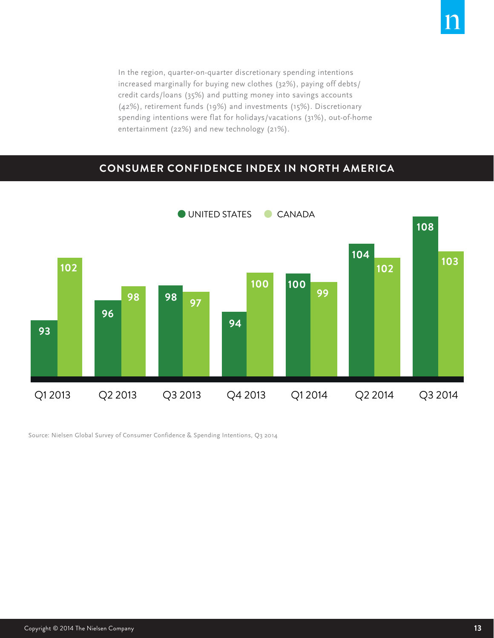In the region, quarter-on-quarter discretionary spending intentions increased marginally for buying new clothes (32%), paying off debts/ credit cards/loans (35%) and putting money into savings accounts (42%), retirement funds (19%) and investments (15%). Discretionary spending intentions were flat for holidays/vacations (31%), out-of-home entertainment (22%) and new technology (21%).

#### **CONSUMER CONFIDENCE INDEX IN NORTH AMERICA**

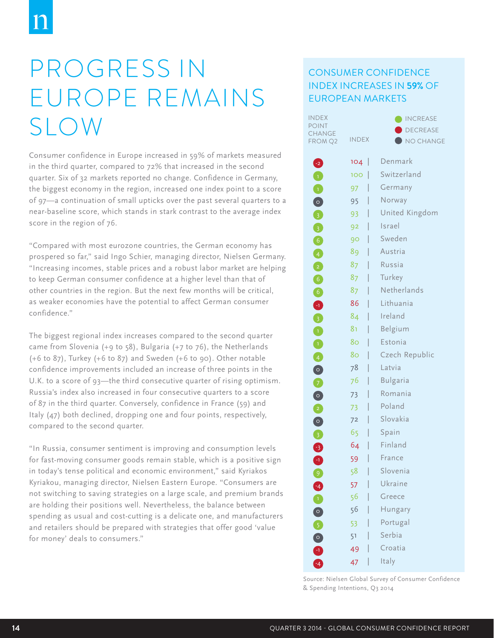## PROGRESS IN EUROPE REMAINS SLOW

Consumer confidence in Europe increased in 59% of markets measured in the third quarter, compared to 72% that increased in the second quarter. Six of 32 markets reported no change. Confidence in Germany, the biggest economy in the region, increased one index point to a score of 97—a continuation of small upticks over the past several quarters to a near-baseline score, which stands in stark contrast to the average index score in the region of 76.

"Compared with most eurozone countries, the German economy has prospered so far," said Ingo Schier, managing director, Nielsen Germany. "Increasing incomes, stable prices and a robust labor market are helping to keep German consumer confidence at a higher level than that of other countries in the region. But the next few months will be critical, as weaker economies have the potential to affect German consumer confidence."

The biggest regional index increases compared to the second quarter came from Slovenia (+9 to 58), Bulgaria (+7 to 76), the Netherlands (+6 to 87), Turkey (+6 to 87) and Sweden (+6 to 90). Other notable confidence improvements included an increase of three points in the U.K. to a score of 93—the third consecutive quarter of rising optimism. Russia's index also increased in four consecutive quarters to a score of 87 in the third quarter. Conversely, confidence in France (59) and Italy (47) both declined, dropping one and four points, respectively, compared to the second quarter.

"In Russia, consumer sentiment is improving and consumption levels for fast-moving consumer goods remain stable, which is a positive sign in today's tense political and economic environment," said Kyriakos Kyriakou, managing director, Nielsen Eastern Europe. "Consumers are not switching to saving strategies on a large scale, and premium brands are holding their positions well. Nevertheless, the balance between spending as usual and cost-cutting is a delicate one, and manufacturers and retailers should be prepared with strategies that offer good 'value for money' deals to consumers."

### CONSUMER CONFIDENCE INDEX INCREASES IN **59%** OF EUROPEAN MARKETS

| INDEX           |              | <b>INCREASE</b>     |
|-----------------|--------------|---------------------|
| POINT<br>CHANGE |              | <b>DECREASE</b>     |
| FROM Q2         | <b>INDEX</b> | $\bigcup$ NO CHANGE |
| 2               | 104          | Denmark             |
| 0               | 100          | Switzerland         |
| $\bullet$       | 97           | Germany             |
| $\bullet$       | 95           | Norway              |
| 0               | 93           | United Kingdom      |
| 0               | 92           | Israel              |
| $\bullet$       | 90 -         | Sweden              |
| 4               | 89           | Austria             |
| 0               | 87 -         | Russia              |
| 6               | 87           | Turkey              |
| $\bullet$       | 87           | Netherlands         |
| $\bullet$       | 86           | Lithuania           |
| 8               | 84           | Ireland             |
| $\bullet$       | 81           | Belgium             |
| $\bullet$       | 80           | Estonia             |
| 4               | 80           | Czech Republic      |
| $\bullet$       | 78           | Latvia              |
| 0               | 76           | <b>Bulgaria</b>     |
| $\bullet$       | 73           | Romania             |
| 0               | 73           | Poland              |
| $\bullet$       | 72           | Slovakia            |
| 8               | 65           | Spain               |
|                 | 64           | Finland             |
| 8<br>0          | 59           | France              |
| 9               | 58           | Slovenia            |
|                 | 57           | Ukraine             |
|                 | 56           | Greece              |
|                 | 56           | Hungary             |
| 0 5 0 1         | 53           | Portugal            |
|                 | 51           | Serbia              |
|                 | 49           | Croatia             |
|                 | 47           | Italy               |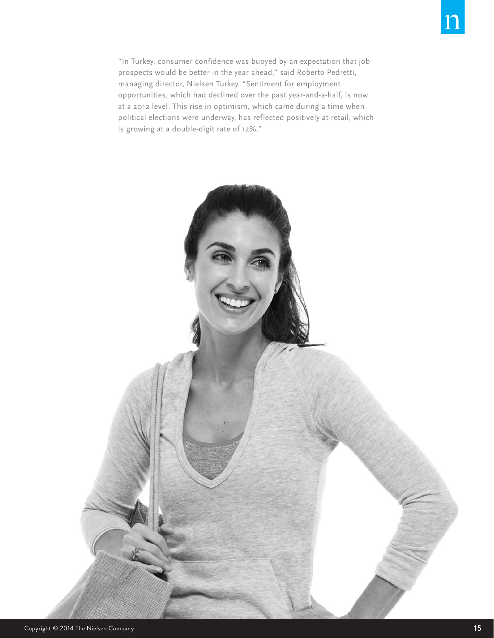is growing at a double-digit rate of 12%."

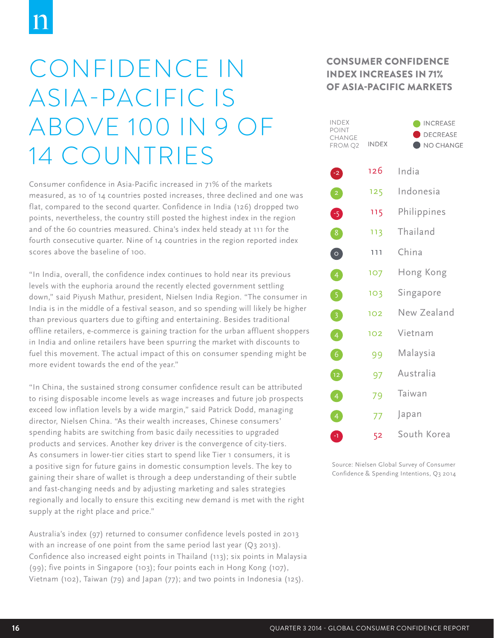## CONFIDENCE IN ASIA-PACIFIC IS ABOVE 100 IN 9 OF 14 COUNTRIES

Consumer confidence in Asia-Pacific increased in 71% of the markets measured, as 10 of 14 countries posted increases, three declined and one was flat, compared to the second quarter. Confidence in India (126) dropped two points, nevertheless, the country still posted the highest index in the region and of the 60 countries measured. China's index held steady at 111 for the fourth consecutive quarter. Nine of 14 countries in the region reported index scores above the baseline of 100.

"In India, overall, the confidence index continues to hold near its previous levels with the euphoria around the recently elected government settling down," said Piyush Mathur, president, Nielsen India Region. "The consumer in India is in the middle of a festival season, and so spending will likely be higher than previous quarters due to gifting and entertaining. Besides traditional offline retailers, e-commerce is gaining traction for the urban affluent shoppers in India and online retailers have been spurring the market with discounts to fuel this movement. The actual impact of this on consumer spending might be more evident towards the end of the year."

"In China, the sustained strong consumer confidence result can be attributed to rising disposable income levels as wage increases and future job prospects exceed low inflation levels by a wide margin," said Patrick Dodd, managing director, Nielsen China. "As their wealth increases, Chinese consumers' spending habits are switching from basic daily necessities to upgraded products and services. Another key driver is the convergence of city-tiers. As consumers in lower-tier cities start to spend like Tier 1 consumers, it is a positive sign for future gains in domestic consumption levels. The key to gaining their share of wallet is through a deep understanding of their subtle and fast-changing needs and by adjusting marketing and sales strategies regionally and locally to ensure this exciting new demand is met with the right supply at the right place and price."

Australia's index (97) returned to consumer confidence levels posted in 2013 with an increase of one point from the same period last year (Q3 2013). Confidence also increased eight points in Thailand (113); six points in Malaysia (99); five points in Singapore (103); four points each in Hong Kong (107), Vietnam (102), Taiwan (79) and Japan (77); and two points in Indonesia (125).

### CONSUMER CONFIDENCE INDEX INCREASES IN 71% OF ASIA-PACIFIC MARKETS

| <b>INDEX</b><br><b>POINT</b><br><b>CHANGE</b><br>FROM Q2 | INDEX | <b>NCREASE</b><br>DECREASE<br>NO CHANGE |
|----------------------------------------------------------|-------|-----------------------------------------|
| $-2$                                                     | 126   | India                                   |
| $\boxed{2}$                                              | 125   | Indonesia                               |
| ❺                                                        | 115   | Philippines                             |
| $\begin{bmatrix} 8 \end{bmatrix}$                        | 113   | Thailand                                |
| $\bullet$                                                | 111   | China                                   |
| $\left( 4\right)$                                        | 107   | Hong Kong                               |
| 5                                                        | 103   | Singapore                               |
| 3                                                        | 102   | New Zealand                             |
| $\left(4\right)$                                         | 102   | Vietnam                                 |
| $\boxed{6}$                                              | 99    | Malaysia                                |
| $\left(12\right)$                                        | 97    | Australia                               |
| $\overline{4}$                                           | 79    | Taiwan                                  |
| $\boxed{4}$                                              | 77    | Japan                                   |
| 0                                                        | 52    | South Korea                             |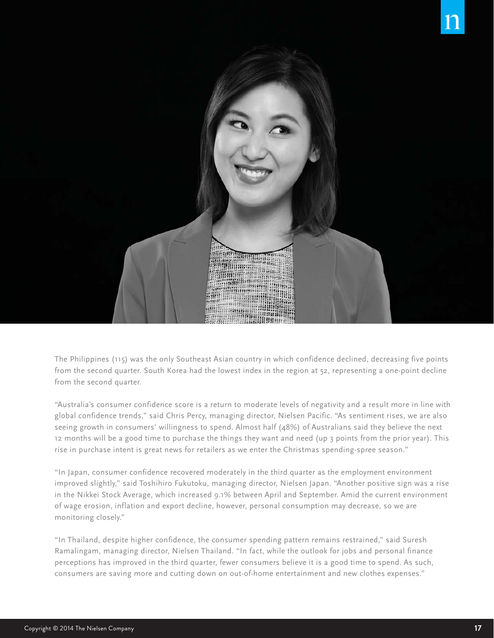

The Philippines (115) was the only Southeast Asian country in which confidence declined, decreasing five points from the second quarter. South Korea had the lowest index in the region at 52, representing a one-point decline from the second quarter.

"Australia's consumer confidence score is a return to moderate levels of negativity and a result more in line with global confidence trends," said Chris Percy, managing director, Nielsen Pacific. "As sentiment rises, we are also seeing growth in consumers' willingness to spend. Almost half (48%) of Australians said they believe the next 12 months will be a good time to purchase the things they want and need (up 3 points from the prior year). This rise in purchase intent is great news for retailers as we enter the Christmas spending-spree season."

"In Japan, consumer confidence recovered moderately in the third quarter as the employment environment improved slightly," said Toshihiro Fukutoku, managing director, Nielsen Japan. "Another positive sign was a rise in the Nikkei Stock Average, which increased 9.1% between April and September. Amid the current environment of wage erosion, inflation and export decline, however, personal consumption may decrease, so we are monitoring closely."

"In Thailand, despite higher confidence, the consumer spending pattern remains restrained," said Suresh Ramalingam, managing director, Nielsen Thailand. "In fact, while the outlook for jobs and personal finance perceptions has improved in the third quarter, fewer consumers believe it is a good time to spend. As such, consumers are saving more and cutting down on out-of-home entertainment and new clothes expenses."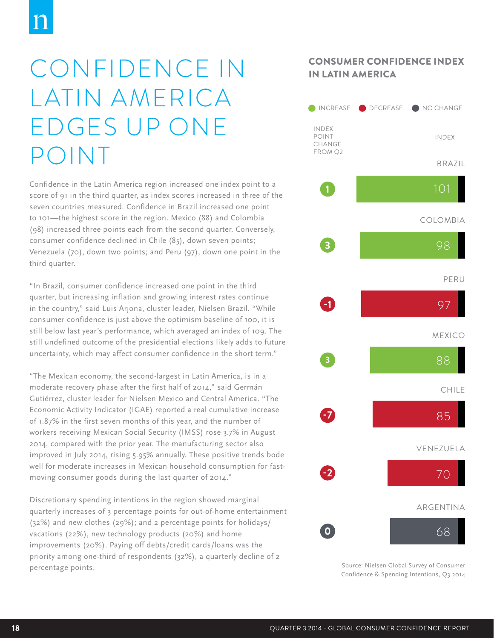## CONFIDENCE IN LATIN AMERICA EDGES UP ONE POINT

Confidence in the Latin America region increased one index point to a score of 91 in the third quarter, as index scores increased in three of the seven countries measured. Confidence in Brazil increased one point to 101—the highest score in the region. Mexico (88) and Colombia (98) increased three points each from the second quarter. Conversely, consumer confidence declined in Chile (85), down seven points; Venezuela (70), down two points; and Peru (97), down one point in the third quarter.

"In Brazil, consumer confidence increased one point in the third quarter, but increasing inflation and growing interest rates continue in the country," said Luis Arjona, cluster leader, Nielsen Brazil. "While consumer confidence is just above the optimism baseline of 100, it is still below last year's performance, which averaged an index of 109. The still undefined outcome of the presidential elections likely adds to future uncertainty, which may affect consumer confidence in the short term."

"The Mexican economy, the second-largest in Latin America, is in a moderate recovery phase after the first half of 2014," said Germán Gutiérrez, cluster leader for Nielsen Mexico and Central America. "The Economic Activity Indicator (IGAE) reported a real cumulative increase of 1.87% in the first seven months of this year, and the number of workers receiving Mexican Social Security (IMSS) rose 3.7% in August 2014, compared with the prior year. The manufacturing sector also improved in July 2014, rising 5.95% annually. These positive trends bode well for moderate increases in Mexican household consumption for fastmoving consumer goods during the last quarter of 2014."

Discretionary spending intentions in the region showed marginal quarterly increases of 3 percentage points for out-of-home entertainment (32%) and new clothes (29%); and 2 percentage points for holidays/ vacations (22%), new technology products (20%) and home improvements (20%). Paying off debts/credit cards/loans was the priority among one-third of respondents (32%), a quarterly decline of 2 percentage points.

### CONSUMER CONFIDENCE INDEX IN LATIN AMERICA

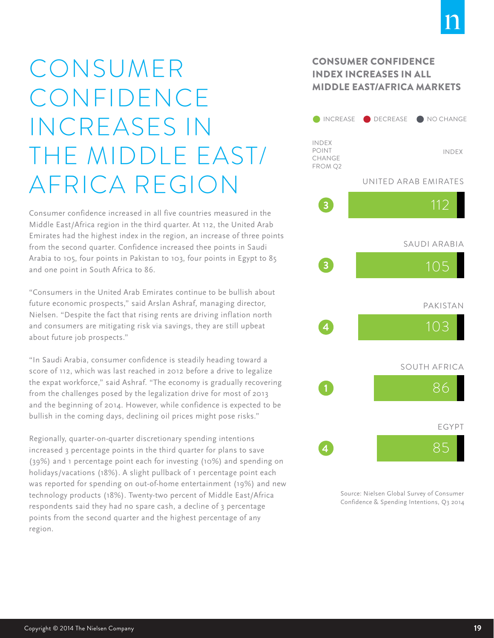## CONSUMER CONFIDENCE INCREASES IN THE MIDDLE EAST/ AFRICA REGION

Consumer confidence increased in all five countries measured in the Middle East/Africa region in the third quarter. At 112, the United Arab Emirates had the highest index in the region, an increase of three points from the second quarter. Confidence increased thee points in Saudi Arabia to 105, four points in Pakistan to 103, four points in Egypt to 85 and one point in South Africa to 86.

"Consumers in the United Arab Emirates continue to be bullish about future economic prospects," said Arslan Ashraf, managing director, Nielsen. "Despite the fact that rising rents are driving inflation north and consumers are mitigating risk via savings, they are still upbeat about future job prospects."

"In Saudi Arabia, consumer confidence is steadily heading toward a score of 112, which was last reached in 2012 before a drive to legalize the expat workforce," said Ashraf. "The economy is gradually recovering from the challenges posed by the legalization drive for most of 2013 and the beginning of 2014. However, while confidence is expected to be bullish in the coming days, declining oil prices might pose risks."

Regionally, quarter-on-quarter discretionary spending intentions increased 3 percentage points in the third quarter for plans to save (39%) and 1 percentage point each for investing (10%) and spending on holidays/vacations (18%). A slight pullback of 1 percentage point each was reported for spending on out-of-home entertainment (19%) and new technology products (18%). Twenty-two percent of Middle East/Africa respondents said they had no spare cash, a decline of 3 percentage points from the second quarter and the highest percentage of any region.

### CONSUMER CONFIDENCE INDEX INCREASES IN ALL MIDDLE EAST/AFRICA MARKETS

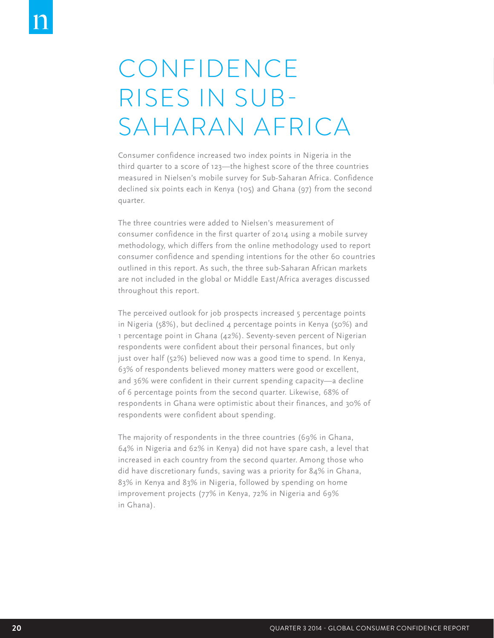## CONFIDENCE RISES IN SUB-SAHARAN AFRICA

Consumer confidence increased two index points in Nigeria in the third quarter to a score of 123—the highest score of the three countries measured in Nielsen's mobile survey for Sub-Saharan Africa. Confidence declined six points each in Kenya (105) and Ghana (97) from the second quarter.

The three countries were added to Nielsen's measurement of consumer confidence in the first quarter of 2014 using a mobile survey methodology, which differs from the online methodology used to report consumer confidence and spending intentions for the other 60 countries outlined in this report. As such, the three sub-Saharan African markets are not included in the global or Middle East/Africa averages discussed throughout this report.

The perceived outlook for job prospects increased 5 percentage points in Nigeria (58%), but declined 4 percentage points in Kenya (50%) and 1 percentage point in Ghana (42%). Seventy-seven percent of Nigerian respondents were confident about their personal finances, but only just over half (52%) believed now was a good time to spend. In Kenya, 63% of respondents believed money matters were good or excellent, and 36% were confident in their current spending capacity—a decline of 6 percentage points from the second quarter. Likewise, 68% of respondents in Ghana were optimistic about their finances, and 30% of respondents were confident about spending.

The majority of respondents in the three countries (69% in Ghana, 64% in Nigeria and 62% in Kenya) did not have spare cash, a level that increased in each country from the second quarter. Among those who did have discretionary funds, saving was a priority for 84% in Ghana, 83% in Kenya and 83% in Nigeria, followed by spending on home improvement projects (77% in Kenya, 72% in Nigeria and 69% in Ghana).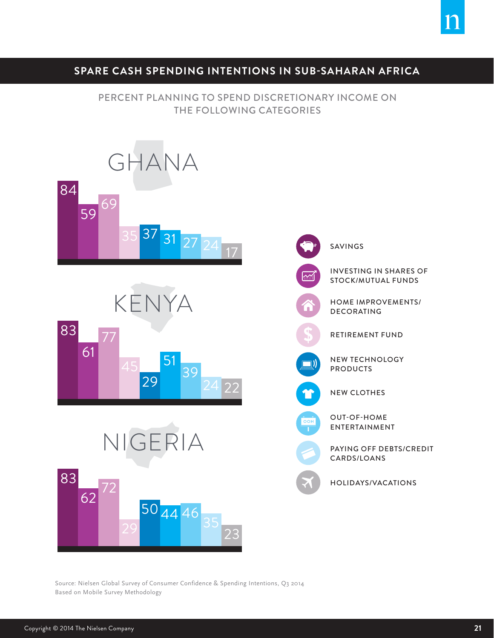### **SPARE CASH SPENDING INTENTIONS IN SUB-SAHARAN AFRICA**

#### PERCENT PLANNING TO SPEND DISCRETIONARY INCOME ON THE FOLLOWING CATEGORIES



Source: Nielsen Global Survey of Consumer Confidence & Spending Intentions, Q3 2014 Based on Mobile Survey Methodology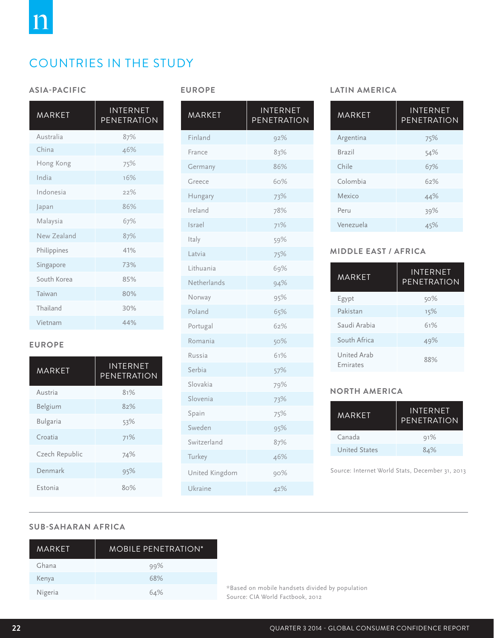### COUNTRIES IN THE STUDY

#### **ASIA-PACIFIC**

| MARKET      | <b>INTERNET</b><br><b>PENETRATION</b> |
|-------------|---------------------------------------|
| Australia   | 87%                                   |
| China       | 46%                                   |
| Hong Kong   | 75%                                   |
| India       | 16%                                   |
| Indonesia   | 22%                                   |
| Japan       | 86%                                   |
| Malaysia    | 67%                                   |
| New Zealand | 87%                                   |
| Philippines | 41%                                   |
| Singapore   | 73%                                   |
| South Korea | 85%                                   |
| Taiwan      | 80%                                   |
| Thailand    | 30%                                   |
| Vietnam     | 44%                                   |

#### **EUROPE**

| MARKFT         | <b>INTERNET</b><br>PENETRATION |
|----------------|--------------------------------|
| Austria        | 81%                            |
| Belgium        | 82%                            |
| Bulgaria       | 53%                            |
| Croatia        | 71%                            |
| Czech Republic | 74%                            |
| Denmark        | 95%                            |
| Estonia        | 8റ%                            |

| <b>MARKET</b>  | <b>INTERNET</b><br>PENETRATION |
|----------------|--------------------------------|
| Finland        | 92%                            |
| France         | 83%                            |
| Germany        | 86%                            |
| Greece         | 60%                            |
| Hungary        | 73%                            |
| Ireland        | 78%                            |
| Israel         | 71%                            |
| Italy          | 59%                            |
| Latvia         | 75%                            |
| Lithuania      | 69%                            |
| Netherlands    | 94%                            |
| Norway         | 95%                            |
| Poland         | 65%                            |
| Portugal       | 62%                            |
| Romania        | 50%                            |
| Russia         | 61%                            |
| Serbia         | 57%                            |
| Slovakia       | 79%                            |
| Slovenia       | 73%                            |
| Spain          | 75%                            |
| Sweden         | 95%                            |
| Switzerland    | 87%                            |
| Turkey         | 46%                            |
| United Kingdom | 90%                            |
| Ukraine        | 42%                            |

#### **EUROPE LATIN AMERICA**

| INTERNET<br>PENETRATION | <b>MARKET</b> | <b>INTERNET</b><br>PENETRATION |
|-------------------------|---------------|--------------------------------|
| 92%                     | Argentina     | 75%                            |
| 83%                     | Brazil        | 54%                            |
| 86%                     | Chile         | 67%                            |
| 60%                     | Colombia      | 62%                            |
| 73%                     | Mexico        | 44%                            |
| 78%                     | Peru          | 39%                            |
| 71%                     | Venezuela     | 45%                            |

#### **MIDDLE EAST / AFRICA**

| MARKFT                         | <b>INTERNET</b><br>PENFTRATION |
|--------------------------------|--------------------------------|
| Egypt                          | 50%                            |
| Pakistan                       | 15%                            |
| Saudi Arabia                   | 61%                            |
| South Africa                   | 49%                            |
| United Arab<br><b>Emirates</b> | 88%                            |

#### **NORTH AMERICA**

| <b>MARKFT</b> | INTFRNFT<br>PENFTRATION |  |
|---------------|-------------------------|--|
| Canada        | 91%                     |  |
| United States | 81%                     |  |

Source: Internet World Stats, December 31, 2013

#### **SUB-SAHARAN AFRICA**

| MARKFT  | <b>MOBILE PENFTRATION*</b> |
|---------|----------------------------|
| Ghana   | 99%                        |
| Kenya   | 68%                        |
| Nigeria | 64%                        |

\*Based on mobile handsets divided by population Source: CIA World Factbook, 2012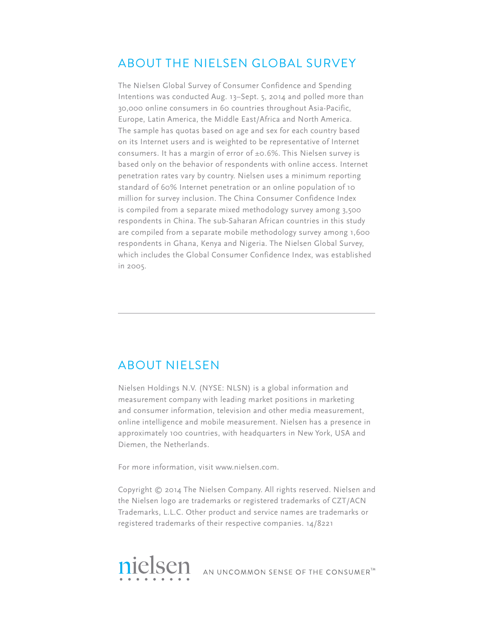### ABOUT THE NIELSEN GLOBAL SURVEY

The Nielsen Global Survey of Consumer Confidence and Spending Intentions was conducted Aug. 13–Sept. 5, 2014 and polled more than 30,000 online consumers in 60 countries throughout Asia-Pacific, Europe, Latin America, the Middle East/Africa and North America. The sample has quotas based on age and sex for each country based on its Internet users and is weighted to be representative of Internet consumers. It has a margin of error of ±0.6%. This Nielsen survey is based only on the behavior of respondents with online access. Internet penetration rates vary by country. Nielsen uses a minimum reporting standard of 60% Internet penetration or an online population of 10 million for survey inclusion. The China Consumer Confidence Index is compiled from a separate mixed methodology survey among 3,500 respondents in China. The sub-Saharan African countries in this study are compiled from a separate mobile methodology survey among 1,600 respondents in Ghana, Kenya and Nigeria. The Nielsen Global Survey, which includes the Global Consumer Confidence Index, was established in 2005.

### ABOUT NIELSEN

Nielsen Holdings N.V. (NYSE: NLSN) is a global information and measurement company with leading market positions in marketing and consumer information, television and other media measurement, online intelligence and mobile measurement. Nielsen has a presence in approximately 100 countries, with headquarters in New York, USA and Diemen, the Netherlands.

For more information, visit www.nielsen.com.

Copyright © 2014 The Nielsen Company. All rights reserved. Nielsen and the Nielsen logo are trademarks or registered trademarks of CZT/ACN Trademarks, L.L.C. Other product and service names are trademarks or registered trademarks of their respective companies. 14/8221

nielsen AN UNCOMMON SENSE OF THE CONSUMER<sup>TM</sup>